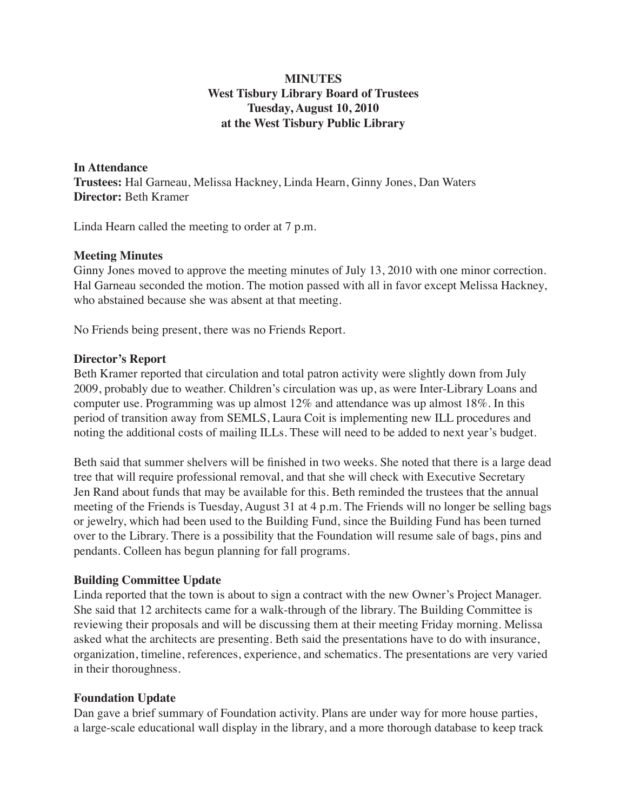# **MINUTES West Tisbury Library Board of Trustees Tuesday, August 10, 2010 at the West Tisbury Public Library**

**In Attendance Trustees:** Hal Garneau, Melissa Hackney, Linda Hearn, Ginny Jones, Dan Waters **Director:** Beth Kramer

Linda Hearn called the meeting to order at 7 p.m.

#### **Meeting Minutes**

Ginny Jones moved to approve the meeting minutes of July 13, 2010 with one minor correction. Hal Garneau seconded the motion. The motion passed with all in favor except Melissa Hackney, who abstained because she was absent at that meeting.

No Friends being present, there was no Friends Report.

#### **Director's Report**

Beth Kramer reported that circulation and total patron activity were slightly down from July 2009, probably due to weather. Children's circulation was up, as were Inter-Library Loans and computer use. Programming was up almost 12% and attendance was up almost 18%. In this period of transition away from SEMLS, Laura Coit is implementing new ILL procedures and noting the additional costs of mailing ILLs. These will need to be added to next year's budget.

Beth said that summer shelvers will be finished in two weeks. She noted that there is a large dead tree that will require professional removal, and that she will check with Executive Secretary Jen Rand about funds that may be available for this. Beth reminded the trustees that the annual meeting of the Friends is Tuesday, August 31 at 4 p.m. The Friends will no longer be selling bags or jewelry, which had been used to the Building Fund, since the Building Fund has been turned over to the Library. There is a possibility that the Foundation will resume sale of bags, pins and pendants. Colleen has begun planning for fall programs.

## **Building Committee Update**

Linda reported that the town is about to sign a contract with the new Owner's Project Manager. She said that 12 architects came for a walk-through of the library. The Building Committee is reviewing their proposals and will be discussing them at their meeting Friday morning. Melissa asked what the architects are presenting. Beth said the presentations have to do with insurance, organization, timeline, references, experience, and schematics. The presentations are very varied in their thoroughness.

## **Foundation Update**

Dan gave a brief summary of Foundation activity. Plans are under way for more house parties, a large-scale educational wall display in the library, and a more thorough database to keep track